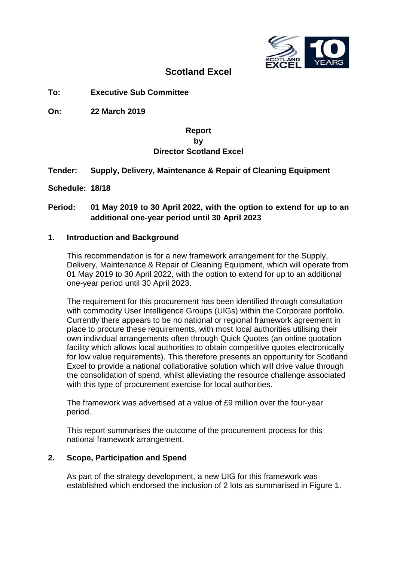

## **Scotland Excel**

**To: Executive Sub Committee**

**On: 22 March 2019**

## **Report by Director Scotland Excel**

## **Tender: Supply, Delivery, Maintenance & Repair of Cleaning Equipment**

**Schedule: 18/18**

## **Period: 01 May 2019 to 30 April 2022, with the option to extend for up to an additional one-year period until 30 April 2023**

### **1. Introduction and Background**

This recommendation is for a new framework arrangement for the Supply, Delivery, Maintenance & Repair of Cleaning Equipment, which will operate from 01 May 2019 to 30 April 2022, with the option to extend for up to an additional one-year period until 30 April 2023.

The requirement for this procurement has been identified through consultation with commodity User Intelligence Groups (UIGs) within the Corporate portfolio. Currently there appears to be no national or regional framework agreement in place to procure these requirements, with most local authorities utilising their own individual arrangements often through Quick Quotes (an online quotation facility which allows local authorities to obtain competitive quotes electronically for low value requirements). This therefore presents an opportunity for Scotland Excel to provide a national collaborative solution which will drive value through the consolidation of spend, whilst alleviating the resource challenge associated with this type of procurement exercise for local authorities.

The framework was advertised at a value of £9 million over the four-year period.

This report summarises the outcome of the procurement process for this national framework arrangement.

## **2. Scope, Participation and Spend**

As part of the strategy development, a new UIG for this framework was established which endorsed the inclusion of 2 lots as summarised in Figure 1.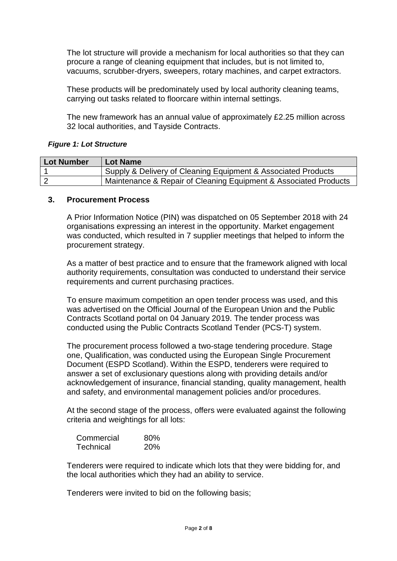The lot structure will provide a mechanism for local authorities so that they can procure a range of cleaning equipment that includes, but is not limited to, vacuums, scrubber-dryers, sweepers, rotary machines, and carpet extractors.

These products will be predominately used by local authority cleaning teams, carrying out tasks related to floorcare within internal settings.

The new framework has an annual value of approximately £2.25 million across 32 local authorities, and Tayside Contracts.

### *Figure 1: Lot Structure*

| Lot Number | <b>Lot Name</b>                                                  |
|------------|------------------------------------------------------------------|
|            | Supply & Delivery of Cleaning Equipment & Associated Products    |
|            | Maintenance & Repair of Cleaning Equipment & Associated Products |

### **3. Procurement Process**

A Prior Information Notice (PIN) was dispatched on 05 September 2018 with 24 organisations expressing an interest in the opportunity. Market engagement was conducted, which resulted in 7 supplier meetings that helped to inform the procurement strategy.

As a matter of best practice and to ensure that the framework aligned with local authority requirements, consultation was conducted to understand their service requirements and current purchasing practices.

To ensure maximum competition an open tender process was used, and this was advertised on the Official Journal of the European Union and the Public Contracts Scotland portal on 04 January 2019. The tender process was conducted using the Public Contracts Scotland Tender (PCS-T) system.

The procurement process followed a two-stage tendering procedure. Stage one, Qualification, was conducted using the European Single Procurement Document (ESPD Scotland). Within the ESPD, tenderers were required to answer a set of exclusionary questions along with providing details and/or acknowledgement of insurance, financial standing, quality management, health and safety, and environmental management policies and/or procedures.

At the second stage of the process, offers were evaluated against the following criteria and weightings for all lots:

| Commercial | 80%        |
|------------|------------|
| Technical  | <b>20%</b> |

Tenderers were required to indicate which lots that they were bidding for, and the local authorities which they had an ability to service.

Tenderers were invited to bid on the following basis;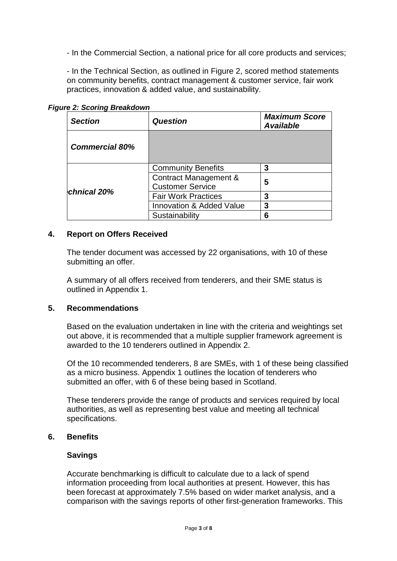- In the Commercial Section, a national price for all core products and services;

- In the Technical Section, as outlined in Figure 2, scored method statements on community benefits, contract management & customer service, fair work practices, innovation & added value, and sustainability.

| <b>Section</b>        | <b>Question</b>                     | <b>Maximum Score</b><br><b>Available</b> |  |
|-----------------------|-------------------------------------|------------------------------------------|--|
| <b>Commercial 80%</b> |                                     |                                          |  |
|                       | <b>Community Benefits</b>           | 3                                        |  |
|                       | Contract Management &               | 5                                        |  |
| chnical 20%           | <b>Customer Service</b>             |                                          |  |
|                       | <b>Fair Work Practices</b>          | 3                                        |  |
|                       | <b>Innovation &amp; Added Value</b> | 3                                        |  |
|                       | Sustainability                      | 6                                        |  |

*Figure 2: Scoring Breakdown*

## **4. Report on Offers Received**

The tender document was accessed by 22 organisations, with 10 of these submitting an offer.

A summary of all offers received from tenderers, and their SME status is outlined in Appendix 1.

## **5. Recommendations**

Based on the evaluation undertaken in line with the criteria and weightings set out above, it is recommended that a multiple supplier framework agreement is awarded to the 10 tenderers outlined in Appendix 2.

Of the 10 recommended tenderers, 8 are SMEs, with 1 of these being classified as a micro business. Appendix 1 outlines the location of tenderers who submitted an offer, with 6 of these being based in Scotland.

These tenderers provide the range of products and services required by local authorities, as well as representing best value and meeting all technical specifications.

## **6. Benefits**

## **Savings**

Accurate benchmarking is difficult to calculate due to a lack of spend information proceeding from local authorities at present. However, this has been forecast at approximately 7.5% based on wider market analysis, and a comparison with the savings reports of other first-generation frameworks. This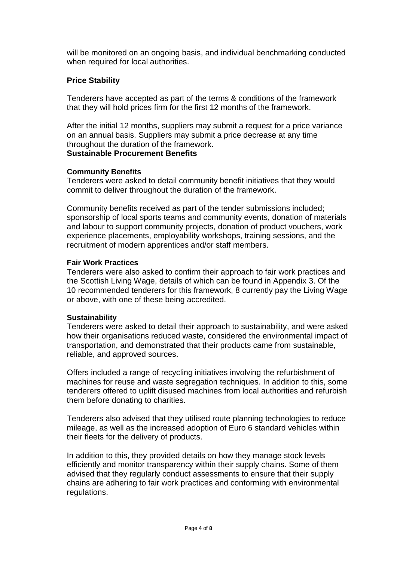will be monitored on an ongoing basis, and individual benchmarking conducted when required for local authorities.

## **Price Stability**

Tenderers have accepted as part of the terms & conditions of the framework that they will hold prices firm for the first 12 months of the framework.

After the initial 12 months, suppliers may submit a request for a price variance on an annual basis. Suppliers may submit a price decrease at any time throughout the duration of the framework.

## **Sustainable Procurement Benefits**

### **Community Benefits**

Tenderers were asked to detail community benefit initiatives that they would commit to deliver throughout the duration of the framework.

Community benefits received as part of the tender submissions included; sponsorship of local sports teams and community events, donation of materials and labour to support community projects, donation of product vouchers, work experience placements, employability workshops, training sessions, and the recruitment of modern apprentices and/or staff members.

### **Fair Work Practices**

Tenderers were also asked to confirm their approach to fair work practices and the Scottish Living Wage, details of which can be found in Appendix 3. Of the 10 recommended tenderers for this framework, 8 currently pay the Living Wage or above, with one of these being accredited.

#### **Sustainability**

Tenderers were asked to detail their approach to sustainability, and were asked how their organisations reduced waste, considered the environmental impact of transportation, and demonstrated that their products came from sustainable, reliable, and approved sources.

Offers included a range of recycling initiatives involving the refurbishment of machines for reuse and waste segregation techniques. In addition to this, some tenderers offered to uplift disused machines from local authorities and refurbish them before donating to charities.

Tenderers also advised that they utilised route planning technologies to reduce mileage, as well as the increased adoption of Euro 6 standard vehicles within their fleets for the delivery of products.

In addition to this, they provided details on how they manage stock levels efficiently and monitor transparency within their supply chains. Some of them advised that they regularly conduct assessments to ensure that their supply chains are adhering to fair work practices and conforming with environmental regulations.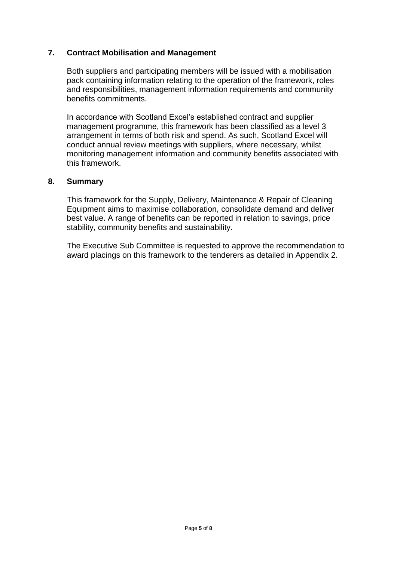## **7. Contract Mobilisation and Management**

Both suppliers and participating members will be issued with a mobilisation pack containing information relating to the operation of the framework, roles and responsibilities, management information requirements and community benefits commitments.

In accordance with Scotland Excel's established contract and supplier management programme, this framework has been classified as a level 3 arrangement in terms of both risk and spend. As such, Scotland Excel will conduct annual review meetings with suppliers, where necessary, whilst monitoring management information and community benefits associated with this framework.

#### **8. Summary**

This framework for the Supply, Delivery, Maintenance & Repair of Cleaning Equipment aims to maximise collaboration, consolidate demand and deliver best value. A range of benefits can be reported in relation to savings, price stability, community benefits and sustainability.

The Executive Sub Committee is requested to approve the recommendation to award placings on this framework to the tenderers as detailed in Appendix 2.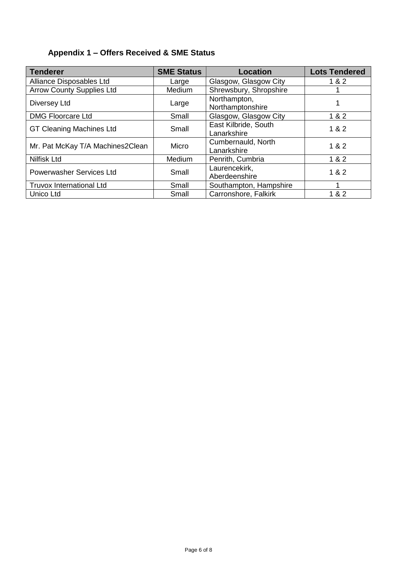## **Appendix 1 – Offers Received & SME Status**

| <b>Tenderer</b>                  | <b>SME Status</b> | <b>Location</b>                     | <b>Lots Tendered</b> |
|----------------------------------|-------------------|-------------------------------------|----------------------|
| Alliance Disposables Ltd         | Large             | Glasgow, Glasgow City               | 1 & 2                |
| <b>Arrow County Supplies Ltd</b> | <b>Medium</b>     | Shrewsbury, Shropshire              |                      |
| Diversey Ltd                     | Large             | Northampton,<br>Northamptonshire    |                      |
| <b>DMG Floorcare Ltd</b>         | Small             | Glasgow, Glasgow City               | 1 & 2                |
| <b>GT Cleaning Machines Ltd</b>  | Small             | East Kilbride, South<br>Lanarkshire | 1 & 2                |
| Mr. Pat McKay T/A Machines2Clean | Micro             | Cumbernauld, North<br>Lanarkshire   | 1 & 2                |
| Nilfisk Ltd                      | Medium            | Penrith, Cumbria                    | 1 & 2                |
| <b>Powerwasher Services Ltd</b>  | Small             | Laurencekirk,<br>Aberdeenshire      | 1 & 2                |
| <b>Truvox International Ltd</b>  | Small             | Southampton, Hampshire              |                      |
| Unico Ltd                        | Small             | Carronshore, Falkirk                | 1 & 2                |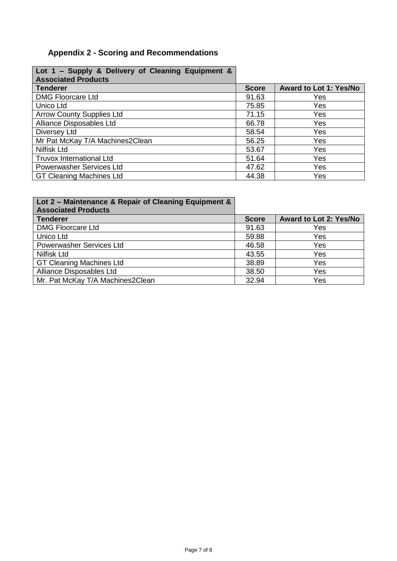## **Appendix 2 - Scoring and Recommendations**

| Lot 1 – Supply & Delivery of Cleaning Equipment &<br><b>Associated Products</b> |              |                               |
|---------------------------------------------------------------------------------|--------------|-------------------------------|
| <b>Tenderer</b>                                                                 | <b>Score</b> | <b>Award to Lot 1: Yes/No</b> |
| <b>DMG Floorcare Ltd</b>                                                        | 91.63        | Yes                           |
| Unico Ltd                                                                       | 75.85        | Yes                           |
| <b>Arrow County Supplies Ltd</b>                                                | 71.15        | Yes                           |
| Alliance Disposables Ltd                                                        | 66.78        | Yes                           |
| Diversey Ltd                                                                    | 58.54        | Yes                           |
| Mr Pat McKay T/A Machines2Clean                                                 | 56.25        | Yes                           |
| <b>Nilfisk Ltd</b>                                                              | 53.67        | Yes                           |
| <b>Truvox International Ltd</b>                                                 | 51.64        | Yes                           |
| Powerwasher Services Ltd                                                        | 47.62        | Yes                           |
| <b>GT Cleaning Machines Ltd</b>                                                 | 44.38        | Yes                           |

| Lot 2 - Maintenance & Repair of Cleaning Equipment &<br><b>Associated Products</b> |              |                               |
|------------------------------------------------------------------------------------|--------------|-------------------------------|
| <b>Tenderer</b>                                                                    | <b>Score</b> | <b>Award to Lot 2: Yes/No</b> |
| <b>DMG Floorcare Ltd</b>                                                           | 91.63        | Yes                           |
| Unico Ltd                                                                          | 59.88        | Yes                           |
| Powerwasher Services Ltd                                                           | 46.58        | Yes                           |
| <b>Nilfisk Ltd</b>                                                                 | 43.55        | Yes                           |
| <b>GT Cleaning Machines Ltd</b>                                                    | 38.89        | Yes                           |
| Alliance Disposables Ltd                                                           | 38.50        | Yes                           |
| Mr. Pat McKay T/A Machines2Clean                                                   | 32.94        | Yes                           |